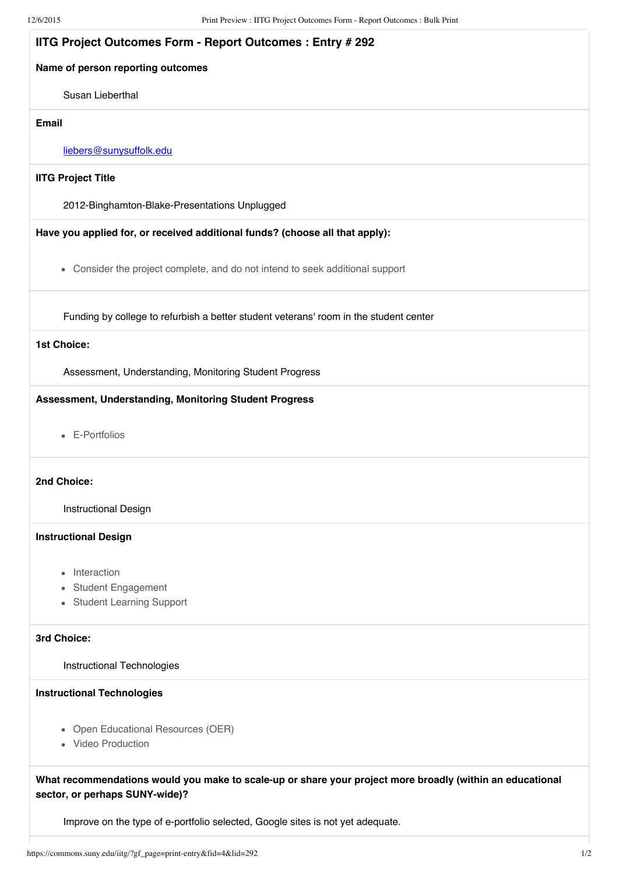| <b>IITG Project Outcomes Form - Report Outcomes: Entry #292</b>                                                                             |
|---------------------------------------------------------------------------------------------------------------------------------------------|
| Name of person reporting outcomes                                                                                                           |
| Susan Lieberthal                                                                                                                            |
| <b>Email</b>                                                                                                                                |
| liebers@sunysuffolk.edu                                                                                                                     |
| <b>IITG Project Title</b>                                                                                                                   |
| 2012-Binghamton-Blake-Presentations Unplugged                                                                                               |
| Have you applied for, or received additional funds? (choose all that apply):                                                                |
| • Consider the project complete, and do not intend to seek additional support                                                               |
| Funding by college to refurbish a better student veterans' room in the student center                                                       |
| 1st Choice:                                                                                                                                 |
| Assessment, Understanding, Monitoring Student Progress                                                                                      |
| Assessment, Understanding, Monitoring Student Progress                                                                                      |
| • E-Portfolios                                                                                                                              |
| 2nd Choice:                                                                                                                                 |
| <b>Instructional Design</b>                                                                                                                 |
| <b>Instructional Design</b>                                                                                                                 |
| • Interaction                                                                                                                               |
| • Student Engagement                                                                                                                        |
| • Student Learning Support                                                                                                                  |
| 3rd Choice:                                                                                                                                 |
| Instructional Technologies                                                                                                                  |
| <b>Instructional Technologies</b>                                                                                                           |
| • Open Educational Resources (OER)<br>• Video Production                                                                                    |
| What recommendations would you make to scale-up or share your project more broadly (within an educational<br>sector, or perhaps SUNY-wide)? |

Improve on the type of e-portfolio selected, Google sites is not yet adequate.